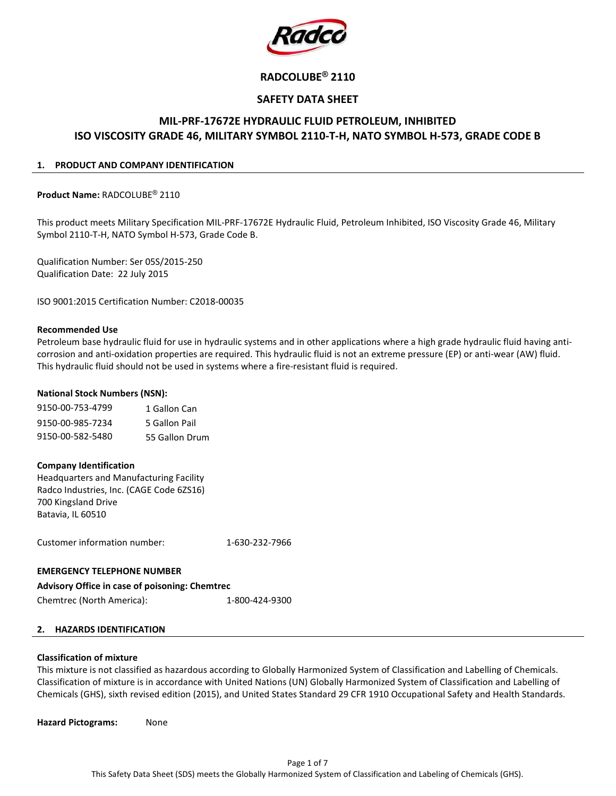

# RADCOLUBE® 2110

# SAFETY DATA SHEET

# MIL-PRF-17672E HYDRAULIC FLUID PETROLEUM, INHIBITED ISO VISCOSITY GRADE 46, MILITARY SYMBOL 2110-T-H, NATO SYMBOL H-573, GRADE CODE B

#### 1. PRODUCT AND COMPANY IDENTIFICATION

Product Name: RADCOLUBE® 2110

This product meets Military Specification MIL-PRF-17672E Hydraulic Fluid, Petroleum Inhibited, ISO Viscosity Grade 46, Military Symbol 2110-T-H, NATO Symbol H-573, Grade Code B.

Qualification Number: Ser 05S/2015-250 Qualification Date: 22 July 2015

ISO 9001:2015 Certification Number: C2018-00035

#### Recommended Use

Petroleum base hydraulic fluid for use in hydraulic systems and in other applications where a high grade hydraulic fluid having anticorrosion and anti-oxidation properties are required. This hydraulic fluid is not an extreme pressure (EP) or anti-wear (AW) fluid. This hydraulic fluid should not be used in systems where a fire-resistant fluid is required.

#### National Stock Numbers (NSN):

| 9150-00-753-4799 | 1 Gallon Can   |
|------------------|----------------|
| 9150-00-985-7234 | 5 Gallon Pail  |
| 9150-00-582-5480 | 55 Gallon Drum |

#### Company Identification

Headquarters and Manufacturing Facility Radco Industries, Inc. (CAGE Code 6ZS16) 700 Kingsland Drive Batavia, IL 60510

Customer information number: 1-630-232-7966

#### EMERGENCY TELEPHONE NUMBER

Advisory Office in case of poisoning: Chemtrec Chemtrec (North America): 1-800-424-9300

# 2. HAZARDS IDENTIFICATION

#### Classification of mixture

This mixture is not classified as hazardous according to Globally Harmonized System of Classification and Labelling of Chemicals. Classification of mixture is in accordance with United Nations (UN) Globally Harmonized System of Classification and Labelling of Chemicals (GHS), sixth revised edition (2015), and United States Standard 29 CFR 1910 Occupational Safety and Health Standards.

Hazard Pictograms: None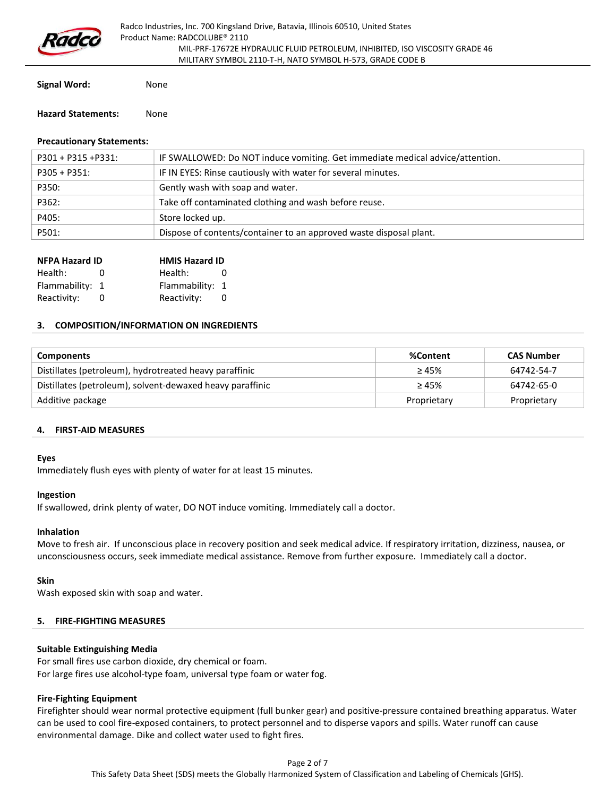

Signal Word: None

#### Hazard Statements: None

## Precautionary Statements:

| P301 + P315 +P331: | IF SWALLOWED: Do NOT induce vomiting. Get immediate medical advice/attention. |
|--------------------|-------------------------------------------------------------------------------|
|                    |                                                                               |
| $P305 + P351$ :    | IF IN EYES: Rinse cautiously with water for several minutes.                  |
| P350:              | Gently wash with soap and water.                                              |
| P362:              | Take off contaminated clothing and wash before reuse.                         |
| P405:              | Store locked up.                                                              |
| P501:              | Dispose of contents/container to an approved waste disposal plant.            |

| <b>NFPA Hazard ID</b> |            | <b>HMIS Hazard ID</b> |          |
|-----------------------|------------|-----------------------|----------|
| Health:               | $^{\circ}$ | Health:               | $^{(1)}$ |
| Flammability: 1       |            | Flammability: 1       |          |
| Reactivity:           |            | Reactivity:           |          |

#### 3. COMPOSITION/INFORMATION ON INGREDIENTS

| <b>Components</b>                                         | %Content    | <b>CAS Number</b> |
|-----------------------------------------------------------|-------------|-------------------|
| Distillates (petroleum), hydrotreated heavy paraffinic    | $\geq 45\%$ | 64742-54-7        |
| Distillates (petroleum), solvent-dewaxed heavy paraffinic | $\geq 45\%$ | 64742-65-0        |
| Additive package                                          | Proprietary | Proprietary       |

#### 4. FIRST-AID MEASURES

#### Eyes

Immediately flush eyes with plenty of water for at least 15 minutes.

#### Ingestion

If swallowed, drink plenty of water, DO NOT induce vomiting. Immediately call a doctor.

#### Inhalation

Move to fresh air. If unconscious place in recovery position and seek medical advice. If respiratory irritation, dizziness, nausea, or unconsciousness occurs, seek immediate medical assistance. Remove from further exposure. Immediately call a doctor.

#### Skin

Wash exposed skin with soap and water.

#### 5. FIRE-FIGHTING MEASURES

#### Suitable Extinguishing Media

For small fires use carbon dioxide, dry chemical or foam. For large fires use alcohol-type foam, universal type foam or water fog.

#### Fire-Fighting Equipment

Firefighter should wear normal protective equipment (full bunker gear) and positive-pressure contained breathing apparatus. Water can be used to cool fire-exposed containers, to protect personnel and to disperse vapors and spills. Water runoff can cause environmental damage. Dike and collect water used to fight fires.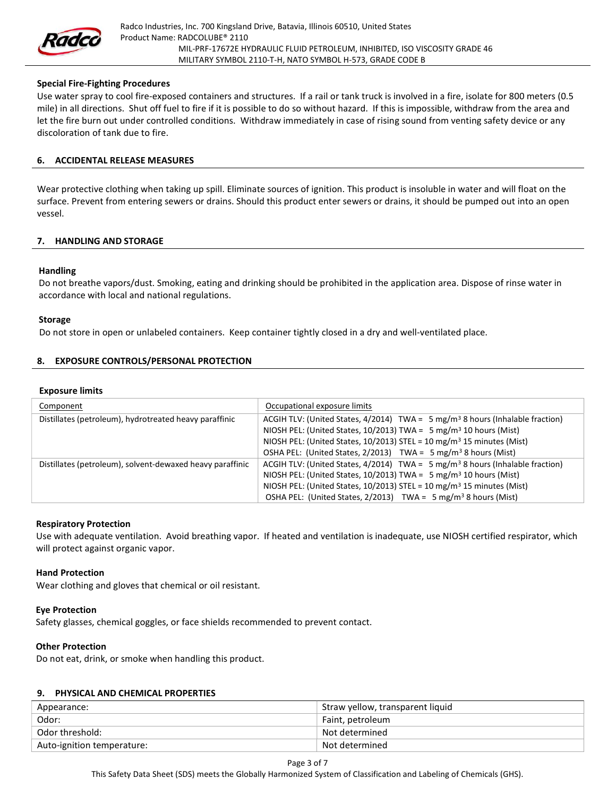

# Special Fire-Fighting Procedures

Use water spray to cool fire-exposed containers and structures. If a rail or tank truck is involved in a fire, isolate for 800 meters (0.5 mile) in all directions. Shut off fuel to fire if it is possible to do so without hazard. If this is impossible, withdraw from the area and let the fire burn out under controlled conditions. Withdraw immediately in case of rising sound from venting safety device or any discoloration of tank due to fire.

#### 6. ACCIDENTAL RELEASE MEASURES

Wear protective clothing when taking up spill. Eliminate sources of ignition. This product is insoluble in water and will float on the surface. Prevent from entering sewers or drains. Should this product enter sewers or drains, it should be pumped out into an open vessel.

# 7. HANDLING AND STORAGE

#### Handling

Do not breathe vapors/dust. Smoking, eating and drinking should be prohibited in the application area. Dispose of rinse water in accordance with local and national regulations.

#### Storage

Do not store in open or unlabeled containers. Keep container tightly closed in a dry and well-ventilated place.

# 8. EXPOSURE CONTROLS/PERSONAL PROTECTION

#### Exposure limits

| Component                                                 | Occupational exposure limits                                                                                                                                                                                                                                                                                                                       |
|-----------------------------------------------------------|----------------------------------------------------------------------------------------------------------------------------------------------------------------------------------------------------------------------------------------------------------------------------------------------------------------------------------------------------|
| Distillates (petroleum), hydrotreated heavy paraffinic    | ACGIH TLV: (United States, $4/2014$ ) TWA = 5 mg/m <sup>3</sup> 8 hours (Inhalable fraction)<br>NIOSH PEL: (United States, 10/2013) TWA = 5 mg/m <sup>3</sup> 10 hours (Mist)<br>NIOSH PEL: (United States, 10/2013) STEL = 10 mg/m <sup>3</sup> 15 minutes (Mist)<br>OSHA PEL: (United States, $2/2013$ ) TWA = $5 \text{ mg/m}^3$ 8 hours (Mist) |
| Distillates (petroleum), solvent-dewaxed heavy paraffinic | ACGIH TLV: (United States, $4/2014$ ) TWA = 5 mg/m <sup>3</sup> 8 hours (Inhalable fraction)<br>NIOSH PEL: (United States, 10/2013) TWA = $5 \text{ mg/m}^3$ 10 hours (Mist)<br>NIOSH PEL: (United States, 10/2013) STEL = 10 mg/m <sup>3</sup> 15 minutes (Mist)<br>OSHA PEL: (United States, $2/2013$ ) TWA = 5 mg/m <sup>3</sup> 8 hours (Mist) |

#### Respiratory Protection

Use with adequate ventilation. Avoid breathing vapor. If heated and ventilation is inadequate, use NIOSH certified respirator, which will protect against organic vapor.

#### Hand Protection

Wear clothing and gloves that chemical or oil resistant.

#### Eye Protection

Safety glasses, chemical goggles, or face shields recommended to prevent contact.

#### Other Protection

Do not eat, drink, or smoke when handling this product.

#### 9. PHYSICAL AND CHEMICAL PROPERTIES

| Appearance:                | Straw yellow, transparent liquid |
|----------------------------|----------------------------------|
| Odor:                      | Faint, petroleum                 |
| Odor threshold:            | Not determined                   |
| Auto-ignition temperature: | Not determined                   |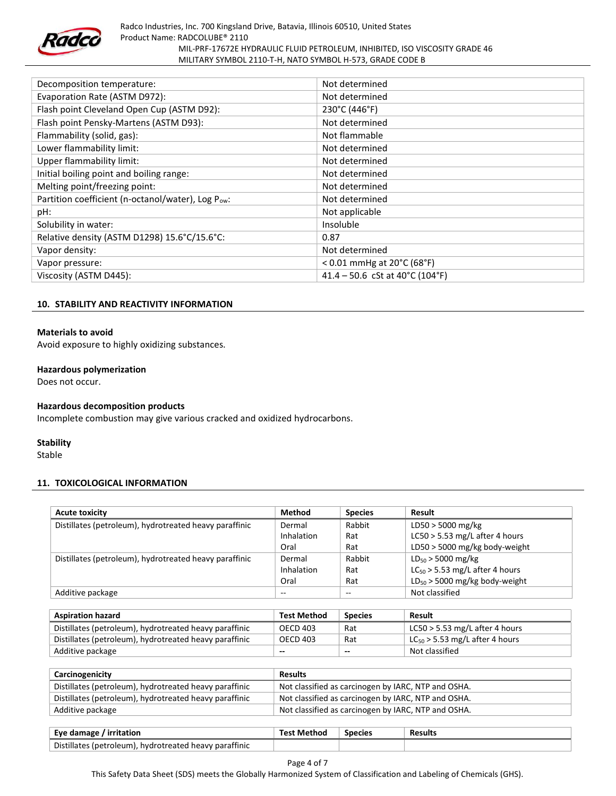

| Decomposition temperature:                        | Not determined                                     |
|---------------------------------------------------|----------------------------------------------------|
| Evaporation Rate (ASTM D972):                     | Not determined                                     |
| Flash point Cleveland Open Cup (ASTM D92):        | 230°C (446°F)                                      |
| Flash point Pensky-Martens (ASTM D93):            | Not determined                                     |
| Flammability (solid, gas):                        | Not flammable                                      |
| Lower flammability limit:                         | Not determined                                     |
| Upper flammability limit:                         | Not determined                                     |
| Initial boiling point and boiling range:          | Not determined                                     |
| Melting point/freezing point:                     | Not determined                                     |
| Partition coefficient (n-octanol/water), Log Pow: | Not determined                                     |
| pH:                                               | Not applicable                                     |
| Solubility in water:                              | Insoluble                                          |
| Relative density (ASTM D1298) 15.6°C/15.6°C:      | 0.87                                               |
| Vapor density:                                    | Not determined                                     |
| Vapor pressure:                                   | $< 0.01$ mmHg at 20 $^{\circ}$ C (68 $^{\circ}$ F) |
| Viscosity (ASTM D445):                            | 41.4 - 50.6 cSt at 40°C (104°F)                    |

# 10. STABILITY AND REACTIVITY INFORMATION

# Materials to avoid

Avoid exposure to highly oxidizing substances.

## Hazardous polymerization

Does not occur.

#### Hazardous decomposition products

Incomplete combustion may give various cracked and oxidized hydrocarbons.

#### **Stability**

Stable

#### 11. TOXICOLOGICAL INFORMATION

| <b>Acute toxicity</b>                                  | <b>Method</b>      | <b>Species</b>           | Result                              |
|--------------------------------------------------------|--------------------|--------------------------|-------------------------------------|
| Distillates (petroleum), hydrotreated heavy paraffinic | Dermal             | Rabbit                   | $LD50 > 5000$ mg/kg                 |
|                                                        | Inhalation         | Rat                      | LC50 $>$ 5.53 mg/L after 4 hours    |
|                                                        | Oral               | Rat                      | LD50 $>$ 5000 mg/kg body-weight     |
| Distillates (petroleum), hydrotreated heavy paraffinic | Dermal             | Rabbit                   | $LD_{50}$ > 5000 mg/kg              |
|                                                        | Inhalation         | Rat                      | $LC_{50}$ > 5.53 mg/L after 4 hours |
|                                                        | Oral               | Rat                      | $LD_{50}$ > 5000 mg/kg body-weight  |
| Additive package                                       | $\qquad \qquad -$  | $- -$                    | Not classified                      |
|                                                        |                    |                          |                                     |
| <b>Aspiration hazard</b>                               | <b>Test Method</b> | <b>Species</b>           | Result                              |
| Distillates (petroleum), hydrotreated heavy paraffinic | <b>OECD 403</b>    | Rat                      | LC50 $>$ 5.53 mg/L after 4 hours    |
| Distillates (petroleum), hydrotreated heavy paraffinic | <b>OECD 403</b>    | Rat                      | $LC_{50}$ > 5.53 mg/L after 4 hours |
| Additive package                                       | --                 | $\overline{\phantom{a}}$ | Not classified                      |

| Carcinogenicity                                        | <b>Results</b>                                      |
|--------------------------------------------------------|-----------------------------------------------------|
| Distillates (petroleum), hydrotreated heavy paraffinic | Not classified as carcinogen by IARC, NTP and OSHA. |
| Distillates (petroleum), hydrotreated heavy paraffinic | Not classified as carcinogen by IARC, NTP and OSHA. |
| Additive package                                       | Not classified as carcinogen by IARC, NTP and OSHA. |

| Eye damage / irritation                                | <b>Test Method</b> | <b>Species</b> | <b>Results</b> |
|--------------------------------------------------------|--------------------|----------------|----------------|
| Distillates (petroleum), hydrotreated heavy paraffinic |                    |                |                |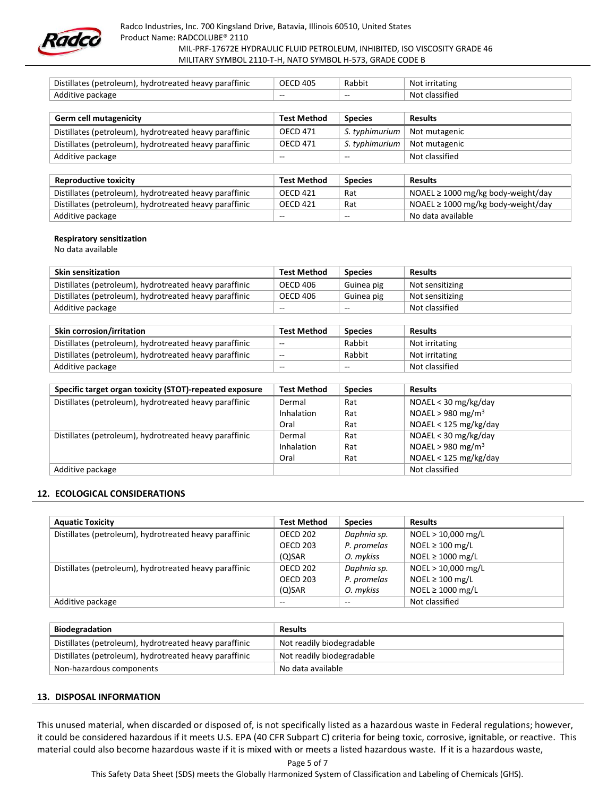

| Distillates (petroleum), hydrotreated heavy paraffinic | <b>OECD 405</b>    | Rabbit         | Not irritating |
|--------------------------------------------------------|--------------------|----------------|----------------|
| Additive package                                       | $-$                | $\sim$ $\sim$  | Not classified |
|                                                        |                    |                |                |
| <b>Germ cell mutagenicity</b>                          | <b>Test Method</b> | <b>Species</b> | <b>Results</b> |
| Distillates (petroleum), hydrotreated heavy paraffinic | <b>OECD 471</b>    | S. typhimurium | Not mutagenic  |
| Distillates (petroleum), hydrotreated heavy paraffinic | OECD 471           | S. typhimurium | Not mutagenic  |
| Additive package                                       | --                 | $- -$          | Not classified |

| <b>Reproductive toxicity</b>                           | <b>Test Method</b> | <b>Species</b> | <b>Results</b>                          |
|--------------------------------------------------------|--------------------|----------------|-----------------------------------------|
| Distillates (petroleum), hydrotreated heavy paraffinic | OECD 421           | Rat            | NOAEL $\geq$ 1000 mg/kg body-weight/day |
| Distillates (petroleum), hydrotreated heavy paraffinic | OECD 421           | Rat            | NOAEL $\geq$ 1000 mg/kg body-weight/day |
| Additive package                                       | $- -$              | $- -$          | No data available                       |

#### Respiratory sensitization

No data available

| Skin sensitization                                     | <b>Test Method</b> | <b>Species</b> | <b>Results</b>  |
|--------------------------------------------------------|--------------------|----------------|-----------------|
| Distillates (petroleum), hydrotreated heavy paraffinic | OECD 406           | Guinea pig     | Not sensitizing |
| Distillates (petroleum), hydrotreated heavy paraffinic | OECD 406           | Guinea pig     | Not sensitizing |
| Additive package                                       | $- -$              | $-$            | Not classified  |

| <b>Skin corrosion/irritation</b>                       | <b>Test Method</b> | <b>Species</b> | <b>Results</b> |
|--------------------------------------------------------|--------------------|----------------|----------------|
| Distillates (petroleum), hydrotreated heavy paraffinic | $- -$              | Rabbit         | Not irritating |
| Distillates (petroleum), hydrotreated heavy paraffinic | $- -$              | Rabbit         | Not irritating |
| Additive package                                       | $- -$              | $- -$          | Not classified |

| Specific target organ toxicity (STOT)-repeated exposure | <b>Test Method</b> | <b>Species</b> | <b>Results</b>                |
|---------------------------------------------------------|--------------------|----------------|-------------------------------|
| Distillates (petroleum), hydrotreated heavy paraffinic  | Dermal             | Rat            | NOAEL < 30 mg/kg/day          |
|                                                         | Inhalation         | Rat            | NOAEL > 980 mg/m <sup>3</sup> |
|                                                         | Oral               | Rat            | NOAEL < 125 mg/kg/day         |
| Distillates (petroleum), hydrotreated heavy paraffinic  | Dermal             | Rat            | $NOAEL < 30$ mg/kg/day        |
|                                                         | Inhalation         | Rat            | NOAEL > 980 mg/m <sup>3</sup> |
|                                                         | Oral               | Rat            | NOAEL < 125 mg/kg/day         |
| Additive package                                        |                    |                | Not classified                |

# 12. ECOLOGICAL CONSIDERATIONS

| <b>Aquatic Toxicity</b>                                | <b>Test Method</b> | <b>Species</b> | <b>Results</b>        |
|--------------------------------------------------------|--------------------|----------------|-----------------------|
| Distillates (petroleum), hydrotreated heavy paraffinic | <b>OECD 202</b>    | Daphnia sp.    | NOEL > 10,000 mg/L    |
|                                                        | <b>OECD 203</b>    | P. promelas    | NOEL $\geq$ 100 mg/L  |
|                                                        | $(O)$ SAR          | O. mykiss      | NOEL $\geq$ 1000 mg/L |
| Distillates (petroleum), hydrotreated heavy paraffinic | <b>OECD 202</b>    | Daphnia sp.    | NOEL > 10,000 mg/L    |
|                                                        | <b>OECD 203</b>    | P. promelas    | NOEL $\geq$ 100 mg/L  |
|                                                        | $(Q)$ SAR          | O. mykiss      | NOEL $\geq$ 1000 mg/L |
| Additive package                                       | $\sim$ $\sim$      | $-$            | Not classified        |

| <b>Biodegradation</b>                                  | <b>Results</b>            |
|--------------------------------------------------------|---------------------------|
| Distillates (petroleum), hydrotreated heavy paraffinic | Not readily biodegradable |
| Distillates (petroleum), hydrotreated heavy paraffinic | Not readily biodegradable |
| Non-hazardous components                               | No data available         |

#### 13. DISPOSAL INFORMATION

This unused material, when discarded or disposed of, is not specifically listed as a hazardous waste in Federal regulations; however, it could be considered hazardous if it meets U.S. EPA (40 CFR Subpart C) criteria for being toxic, corrosive, ignitable, or reactive. This material could also become hazardous waste if it is mixed with or meets a listed hazardous waste. If it is a hazardous waste,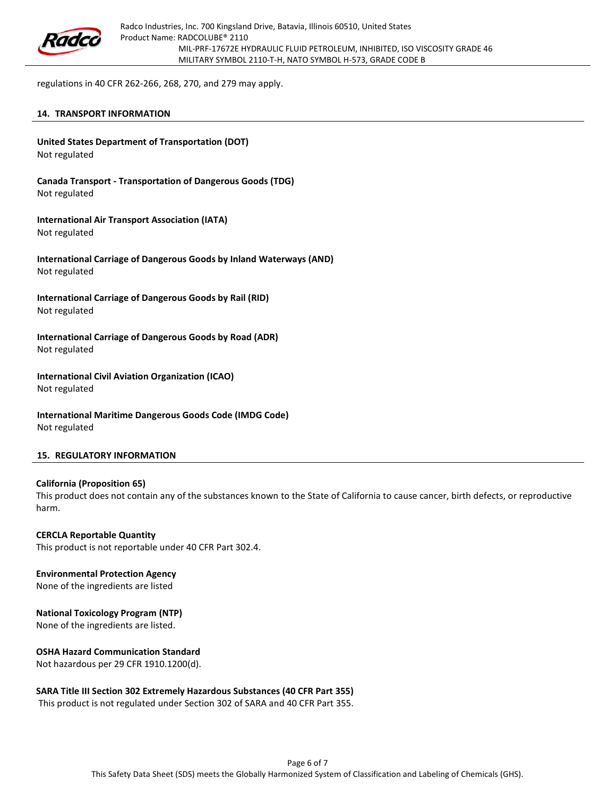

regulations in 40 CFR 262-266, 268, 270, and 279 may apply.

#### 14. TRANSPORT INFORMATION

United States Department of Transportation (DOT) Not regulated

Canada Transport - Transportation of Dangerous Goods (TDG) Not regulated

International Air Transport Association (IATA) Not regulated

International Carriage of Dangerous Goods by Inland Waterways (AND) Not regulated

International Carriage of Dangerous Goods by Rail (RID) Not regulated

International Carriage of Dangerous Goods by Road (ADR) Not regulated

International Civil Aviation Organization (ICAO) Not regulated

International Maritime Dangerous Goods Code (IMDG Code) Not regulated

#### 15. REGULATORY INFORMATION

#### California (Proposition 65)

This product does not contain any of the substances known to the State of California to cause cancer, birth defects, or reproductive harm.

CERCLA Reportable Quantity This product is not reportable under 40 CFR Part 302.4.

# Environmental Protection Agency

None of the ingredients are listed

#### National Toxicology Program (NTP)

None of the ingredients are listed.

#### OSHA Hazard Communication Standard

Not hazardous per 29 CFR 1910.1200(d).

### SARA Title III Section 302 Extremely Hazardous Substances (40 CFR Part 355)

This product is not regulated under Section 302 of SARA and 40 CFR Part 355.